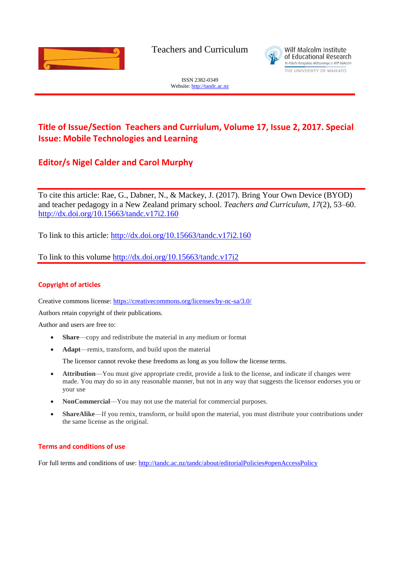

Teachers and Curriculum



ISSN 2382-0349 Website[: http://tandc.ac.nz](http://wje.org.nz/)

# **Title of Issue/Section Teachers and Curriulum, Volume 17, Issue 2, 2017. Special Issue: Mobile Technologies and Learning**

# **Editor/s Nigel Calder and Carol Murphy**

To cite this article: Rae, G., Dabner, N., & Mackey, J. (2017). Bring Your Own Device (BYOD) and teacher pedagogy in a New Zealand primary school. *Teachers and Curriculum, 17*(2), 53–60. <http://dx.doi.org/10.15663/tandc.v17i2.160>

To link to this article:<http://dx.doi.org/10.15663/tandc.v17i2.160>

To link to this volume<http://dx.doi.org/10.15663/tandc.v17i2>

## **Copyright of articles**

Creative commons license:<https://creativecommons.org/licenses/by-nc-sa/3.0/>

Authors retain copyright of their publications.

Author and users are free to:

- **Share**—copy and redistribute the material in any medium or format
- **Adapt**—remix, transform, and build upon the material

The licensor cannot revoke these freedoms as long as you follow the license terms.

- **Attribution**—You must give appropriate credit, provide a link to the license, and indicate if changes were made. You may do so in any reasonable manner, but not in any way that suggests the licensor endorses you or your use
- **NonCommercial**—You may not use the material for commercial purposes.
- **ShareAlike**—If you remix, transform, or build upon the material, you must distribute your contributions under the same license as the original.

### **Terms and conditions of use**

For full terms and conditions of use: <http://tandc.ac.nz/tandc/about/editorialPolicies#openAccessPolicy>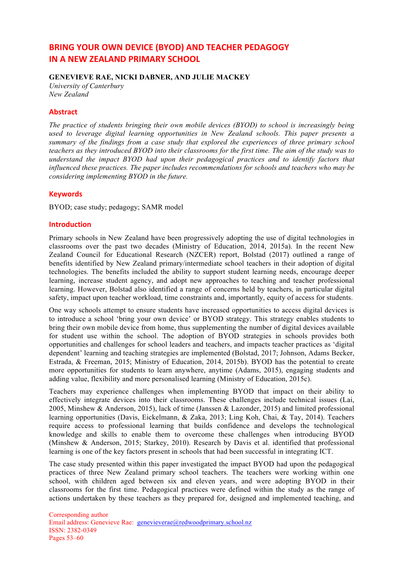# **BRING YOUR OWN DEVICE (BYOD) AND TEACHER PEDAGOGY IN A NEW ZEALAND PRIMARY SCHOOL**

### **GENEVIEVE RAE, NICKI DABNER, AND JULIE MACKEY**

*University of Canterbury New Zealand*

### **Abstract**

*The practice of students bringing their own mobile devices (BYOD) to school is increasingly being used to leverage digital learning opportunities in New Zealand schools. This paper presents a summary of the findings from a case study that explored the experiences of three primary school teachers as they introduced BYOD into their classrooms for the first time. The aim of the study was to understand the impact BYOD had upon their pedagogical practices and to identify factors that influenced these practices. The paper includes recommendations for schools and teachers who may be considering implementing BYOD in the future.*

### **Keywords**

BYOD; case study; pedagogy; SAMR model

### **Introduction**

Primary schools in New Zealand have been progressively adopting the use of digital technologies in classrooms over the past two decades (Ministry of Education, 2014, 2015a). In the recent New Zealand Council for Educational Research (NZCER) report, Bolstad (2017) outlined a range of benefits identified by New Zealand primary/intermediate school teachers in their adoption of digital technologies. The benefits included the ability to support student learning needs, encourage deeper learning, increase student agency, and adopt new approaches to teaching and teacher professional learning. However, Bolstad also identified a range of concerns held by teachers, in particular digital safety, impact upon teacher workload, time constraints and, importantly, equity of access for students.

One way schools attempt to ensure students have increased opportunities to access digital devices is to introduce a school 'bring your own device' or BYOD strategy. This strategy enables students to bring their own mobile device from home, thus supplementing the number of digital devices available for student use within the school. The adoption of BYOD strategies in schools provides both opportunities and challenges for school leaders and teachers, and impacts teacher practices as 'digital dependent' learning and teaching strategies are implemented (Bolstad, 2017; Johnson, Adams Becker, Estrada, & Freeman, 2015; Ministry of Education, 2014, 2015b). BYOD has the potential to create more opportunities for students to learn anywhere, anytime (Adams, 2015), engaging students and adding value, flexibility and more personalised learning (Ministry of Education, 2015c).

Teachers may experience challenges when implementing BYOD that impact on their ability to effectively integrate devices into their classrooms. These challenges include technical issues (Lai, 2005, Minshew & Anderson, 2015), lack of time (Janssen & Lazonder, 2015) and limited professional learning opportunities (Davis, Eickelmann, & Zaka, 2013; Ling Koh, Chai, & Tay, 2014). Teachers require access to professional learning that builds confidence and develops the technological knowledge and skills to enable them to overcome these challenges when introducing BYOD (Minshew & Anderson, 2015; Starkey, 2010). Research by Davis et al. identified that professional learning is one of the key factors present in schools that had been successful in integrating ICT.

The case study presented within this paper investigated the impact BYOD had upon the pedagogical practices of three New Zealand primary school teachers. The teachers were working within one school, with children aged between six and eleven years, and were adopting BYOD in their classrooms for the first time. Pedagogical practices were defined within the study as the range of actions undertaken by these teachers as they prepared for, designed and implemented teaching, and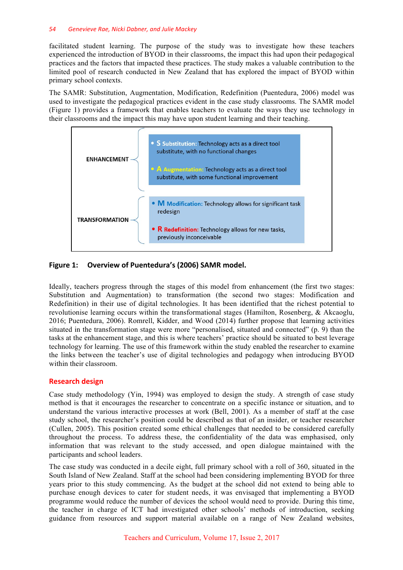### *54 Genevieve Rae, Nicki Dabner, and Julie Mackey*

facilitated student learning. The purpose of the study was to investigate how these teachers experienced the introduction of BYOD in their classrooms, the impact this had upon their pedagogical practices and the factors that impacted these practices. The study makes a valuable contribution to the limited pool of research conducted in New Zealand that has explored the impact of BYOD within primary school contexts.

The SAMR: Substitution, Augmentation, Modification, Redefinition (Puentedura, 2006) model was used to investigate the pedagogical practices evident in the case study classrooms. The SAMR model (Figure 1) provides a framework that enables teachers to evaluate the ways they use technology in their classrooms and the impact this may have upon student learning and their teaching.



### Figure 1: Overview of Puentedura's (2006) SAMR model.

Ideally, teachers progress through the stages of this model from enhancement (the first two stages: Substitution and Augmentation) to transformation (the second two stages: Modification and Redefinition) in their use of digital technologies. It has been identified that the richest potential to revolutionise learning occurs within the transformational stages (Hamilton, Rosenberg, & Akcaoglu, 2016; Puentedura, 2006). Romrell, Kidder, and Wood (2014) further propose that learning activities situated in the transformation stage were more "personalised, situated and connected" (p. 9) than the tasks at the enhancement stage, and this is where teachers' practice should be situated to best leverage technology for learning. The use of this framework within the study enabled the researcher to examine the links between the teacher's use of digital technologies and pedagogy when introducing BYOD within their classroom.

### **Research design**

Case study methodology (Yin, 1994) was employed to design the study. A strength of case study method is that it encourages the researcher to concentrate on a specific instance or situation, and to understand the various interactive processes at work (Bell, 2001). As a member of staff at the case study school, the researcher's position could be described as that of an insider, or teacher researcher (Cullen, 2005). This position created some ethical challenges that needed to be considered carefully throughout the process. To address these, the confidentiality of the data was emphasised, only information that was relevant to the study accessed, and open dialogue maintained with the participants and school leaders.

The case study was conducted in a decile eight, full primary school with a roll of 360, situated in the South Island of New Zealand. Staff at the school had been considering implementing BYOD for three years prior to this study commencing. As the budget at the school did not extend to being able to purchase enough devices to cater for student needs, it was envisaged that implementing a BYOD programme would reduce the number of devices the school would need to provide. During this time, the teacher in charge of ICT had investigated other schools' methods of introduction, seeking guidance from resources and support material available on a range of New Zealand websites,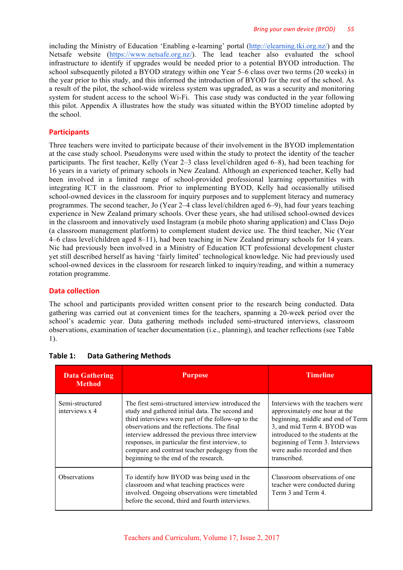including the Ministry of Education 'Enabling e-learning' portal (http://elearning.tki.org.nz/) and the Netsafe website (https://www.netsafe.org.nz/). The lead teacher also evaluated the school infrastructure to identify if upgrades would be needed prior to a potential BYOD introduction. The school subsequently piloted a BYOD strategy within one Year 5–6 class over two terms (20 weeks) in the year prior to this study, and this informed the introduction of BYOD for the rest of the school. As a result of the pilot, the school-wide wireless system was upgraded, as was a security and monitoring system for student access to the school Wi-Fi. This case study was conducted in the year following this pilot. Appendix A illustrates how the study was situated within the BYOD timeline adopted by the school.

## **Participants**

Three teachers were invited to participate because of their involvement in the BYOD implementation at the case study school. Pseudonyms were used within the study to protect the identity of the teacher participants. The first teacher, Kelly (Year 2–3 class level/children aged 6–8), had been teaching for 16 years in a variety of primary schools in New Zealand. Although an experienced teacher, Kelly had been involved in a limited range of school-provided professional learning opportunities with integrating ICT in the classroom. Prior to implementing BYOD, Kelly had occasionally utilised school-owned devices in the classroom for inquiry purposes and to supplement literacy and numeracy programmes. The second teacher, Jo (Year 2–4 class level/children aged 6–9), had four years teaching experience in New Zealand primary schools. Over these years, she had utilised school-owned devices in the classroom and innovatively used Instagram (a mobile photo sharing application) and Class Dojo (a classroom management platform) to complement student device use. The third teacher, Nic (Year 4–6 class level/children aged 8–11), had been teaching in New Zealand primary schools for 14 years. Nic had previously been involved in a Ministry of Education ICT professional development cluster yet still described herself as having 'fairly limited' technological knowledge. Nic had previously used school-owned devices in the classroom for research linked to inquiry/reading, and within a numeracy rotation programme.

## **Data collection**

The school and participants provided written consent prior to the research being conducted. Data gathering was carried out at convenient times for the teachers, spanning a 20-week period over the school's academic year. Data gathering methods included semi-structured interviews, classroom observations, examination of teacher documentation (i.e., planning), and teacher reflections (see Table 1).

| <b>Data Gathering</b><br><b>Method</b> | <b>Purpose</b>                                                                                                                                                                                                                                                                                                                                                                                                | <b>Timeline</b>                                                                                                                                                                                                                                                |
|----------------------------------------|---------------------------------------------------------------------------------------------------------------------------------------------------------------------------------------------------------------------------------------------------------------------------------------------------------------------------------------------------------------------------------------------------------------|----------------------------------------------------------------------------------------------------------------------------------------------------------------------------------------------------------------------------------------------------------------|
| Semi-structured<br>interviews x 4      | The first semi-structured interview introduced the<br>study and gathered initial data. The second and<br>third interviews were part of the follow-up to the<br>observations and the reflections. The final<br>interview addressed the previous three interview<br>responses, in particular the first interview, to<br>compare and contrast teacher pedagogy from the<br>beginning to the end of the research. | Interviews with the teachers were<br>approximately one hour at the<br>beginning, middle and end of Term<br>3, and mid Term 4. BYOD was<br>introduced to the students at the<br>beginning of Term 3. Interviews<br>were audio recorded and then<br>transcribed. |
| <b>Observations</b>                    | To identify how BYOD was being used in the<br>classroom and what teaching practices were<br>involved. Ongoing observations were timetabled<br>before the second, third and fourth interviews.                                                                                                                                                                                                                 | Classroom observations of one<br>teacher were conducted during<br>Term 3 and Term 4.                                                                                                                                                                           |

**Table 1: Data Gathering Methods**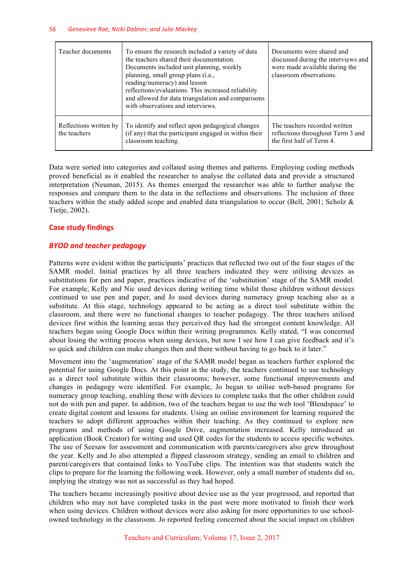| Teacher documents                      | To ensure the research included a variety of data<br>the teachers shared their documentation.<br>Documents included unit planning, weekly<br>planning, small group plans (i.e.,<br>reading/numeracy) and lesson<br>reflections/evaluations. This increased reliability<br>and allowed for data triangulation and comparisons<br>with observations and interviews. | Documents were shared and<br>discussed during the interviews and<br>were made available during the<br>classroom observations. |
|----------------------------------------|-------------------------------------------------------------------------------------------------------------------------------------------------------------------------------------------------------------------------------------------------------------------------------------------------------------------------------------------------------------------|-------------------------------------------------------------------------------------------------------------------------------|
| Reflections written by<br>the teachers | To identify and reflect upon pedagogical changes<br>(if any) that the participant engaged in within their<br>classroom teaching.                                                                                                                                                                                                                                  | The teachers recorded written<br>reflections throughout Term 3 and<br>the first half of Term 4.                               |

Data were sorted into categories and collated using themes and patterns. Employing coding methods proved beneficial as it enabled the researcher to analyse the collated data and provide a structured interpretation (Neuman, 2015). As themes emerged the researcher was able to further analyse the responses and compare them to the data in the reflections and observations. The inclusion of three teachers within the study added scope and enabled data triangulation to occur (Bell, 2001; Scholz  $\&$ Tietje, 2002).

## **Case study findings**

### *BYOD and teacher pedagogy*

Patterns were evident within the participants' practices that reflected two out of the four stages of the SAMR model. Initial practices by all three teachers indicated they were utilising devices as substitutions for pen and paper, practices indicative of the 'substitution' stage of the SAMR model. For example, Kelly and Nic used devices during writing time whilst those children without devices continued to use pen and paper, and Jo used devices during numeracy group teaching also as a substitute. At this stage, technology appeared to be acting as a direct tool substitute within the classroom, and there were no functional changes to teacher pedagogy. The three teachers utilised devices first within the learning areas they perceived they had the strongest content knowledge. All teachers began using Google Docs within their writing programmes. Kelly stated, "I was concerned about losing the writing process when using devices, but now I see how I can give feedback and it's so quick and children can make changes then and there without having to go back to it later."

Movement into the 'augmentation' stage of the SAMR model began as teachers further explored the potential for using Google Docs. At this point in the study, the teachers continued to use technology as a direct tool substitute within their classrooms; however, some functional improvements and changes in pedagogy were identified. For example, Jo began to utilise web-based programs for numeracy group teaching, enabling those with devices to complete tasks that the other children could not do with pen and paper. In addition, two of the teachers began to use the web tool 'Blendspace' to create digital content and lessons for students. Using an online environment for learning required the teachers to adopt different approaches within their teaching. As they continued to explore new programs and methods of using Google Drive, augmentation increased. Kelly introduced an application (Book Creator) for writing and used QR codes for the students to access specific websites. The use of Seesaw for assessment and communication with parents/caregivers also grew throughout the year. Kelly and Jo also attempted a flipped classroom strategy, sending an email to children and parent/caregivers that contained links to YouTube clips. The intention was that students watch the clips to prepare for the learning the following week. However, only a small number of students did so, implying the strategy was not as successful as they had hoped.

The teachers became increasingly positive about device use as the year progressed, and reported that children who may not have completed tasks in the past were more motivated to finish their work when using devices. Children without devices were also asking for more opportunities to use schoolowned technology in the classroom. Jo reported feeling concerned about the social impact on children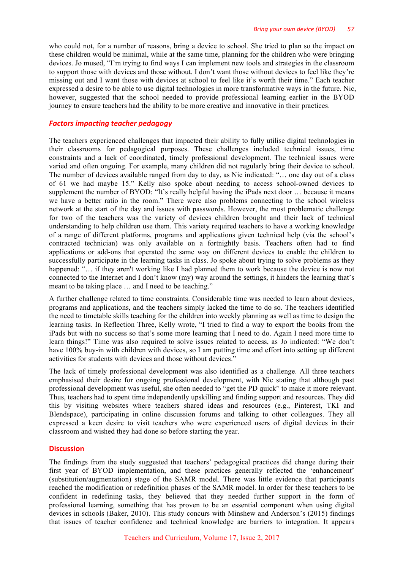who could not, for a number of reasons, bring a device to school. She tried to plan so the impact on these children would be minimal, while at the same time, planning for the children who were bringing devices. Jo mused, "I'm trying to find ways I can implement new tools and strategies in the classroom to support those with devices and those without. I don't want those without devices to feel like they're missing out and I want those with devices at school to feel like it's worth their time." Each teacher expressed a desire to be able to use digital technologies in more transformative ways in the future. Nic, however, suggested that the school needed to provide professional learning earlier in the BYOD journey to ensure teachers had the ability to be more creative and innovative in their practices.

### *Factors impacting teacher pedagogy*

The teachers experienced challenges that impacted their ability to fully utilise digital technologies in their classrooms for pedagogical purposes. These challenges included technical issues, time constraints and a lack of coordinated, timely professional development. The technical issues were varied and often ongoing. For example, many children did not regularly bring their device to school. The number of devices available ranged from day to day, as Nic indicated: "… one day out of a class of 61 we had maybe 15." Kelly also spoke about needing to access school-owned devices to supplement the number of BYOD: "It's really helpful having the iPads next door … because it means we have a better ratio in the room." There were also problems connecting to the school wireless network at the start of the day and issues with passwords. However, the most problematic challenge for two of the teachers was the variety of devices children brought and their lack of technical understanding to help children use them. This variety required teachers to have a working knowledge of a range of different platforms, programs and applications given technical help (via the school's contracted technician) was only available on a fortnightly basis. Teachers often had to find applications or add-ons that operated the same way on different devices to enable the children to successfully participate in the learning tasks in class. Jo spoke about trying to solve problems as they happened: "... if they aren't working like I had planned them to work because the device is now not connected to the Internet and I don't know (my) way around the settings, it hinders the learning that's meant to be taking place … and I need to be teaching."

A further challenge related to time constraints. Considerable time was needed to learn about devices, programs and applications, and the teachers simply lacked the time to do so. The teachers identified the need to timetable skills teaching for the children into weekly planning as well as time to design the learning tasks. In Reflection Three, Kelly wrote, "I tried to find a way to export the books from the iPads but with no success so that's some more learning that I need to do. Again I need more time to learn things!" Time was also required to solve issues related to access, as Jo indicated: "We don't have 100% buy-in with children with devices, so I am putting time and effort into setting up different activities for students with devices and those without devices."

The lack of timely professional development was also identified as a challenge. All three teachers emphasised their desire for ongoing professional development, with Nic stating that although past professional development was useful, she often needed to "get the PD quick" to make it more relevant. Thus, teachers had to spent time independently upskilling and finding support and resources. They did this by visiting websites where teachers shared ideas and resources (e.g., Pinterest, TKI and Blendspace), participating in online discussion forums and talking to other colleagues. They all expressed a keen desire to visit teachers who were experienced users of digital devices in their classroom and wished they had done so before starting the year.

### **Discussion**

The findings from the study suggested that teachers' pedagogical practices did change during their first year of BYOD implementation, and these practices generally reflected the 'enhancement' (substitution/augmentation) stage of the SAMR model. There was little evidence that participants reached the modification or redefinition phases of the SAMR model. In order for these teachers to be confident in redefining tasks, they believed that they needed further support in the form of professional learning, something that has proven to be an essential component when using digital devices in schools (Baker, 2010). This study concurs with Minshew and Anderson's (2015) findings that issues of teacher confidence and technical knowledge are barriers to integration. It appears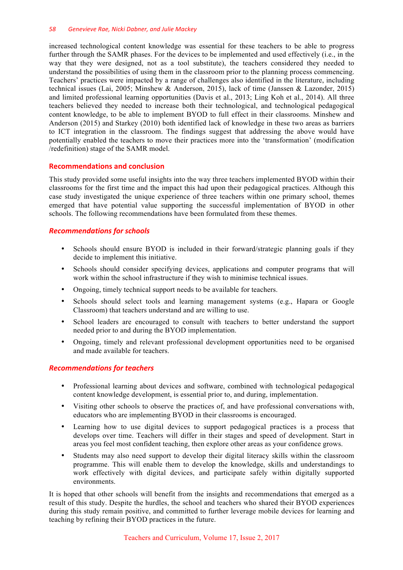### *58 Genevieve Rae, Nicki Dabner, and Julie Mackey*

increased technological content knowledge was essential for these teachers to be able to progress further through the SAMR phases. For the devices to be implemented and used effectively (i.e., in the way that they were designed, not as a tool substitute), the teachers considered they needed to understand the possibilities of using them in the classroom prior to the planning process commencing. Teachers' practices were impacted by a range of challenges also identified in the literature, including technical issues (Lai, 2005; Minshew & Anderson, 2015), lack of time (Janssen & Lazonder, 2015) and limited professional learning opportunities (Davis et al., 2013; Ling Koh et al., 2014). All three teachers believed they needed to increase both their technological, and technological pedagogical content knowledge, to be able to implement BYOD to full effect in their classrooms. Minshew and Anderson (2015) and Starkey (2010) both identified lack of knowledge in these two areas as barriers to ICT integration in the classroom. The findings suggest that addressing the above would have potentially enabled the teachers to move their practices more into the 'transformation' (modification /redefinition) stage of the SAMR model.

## **Recommendations and conclusion**

This study provided some useful insights into the way three teachers implemented BYOD within their classrooms for the first time and the impact this had upon their pedagogical practices. Although this case study investigated the unique experience of three teachers within one primary school, themes emerged that have potential value supporting the successful implementation of BYOD in other schools. The following recommendations have been formulated from these themes.

## *Recommendations for schools*

- Schools should ensure BYOD is included in their forward/strategic planning goals if they decide to implement this initiative.
- Schools should consider specifying devices, applications and computer programs that will work within the school infrastructure if they wish to minimise technical issues.
- Ongoing, timely technical support needs to be available for teachers.
- Schools should select tools and learning management systems (e.g., Hapara or Google Classroom) that teachers understand and are willing to use.
- School leaders are encouraged to consult with teachers to better understand the support needed prior to and during the BYOD implementation.
- Ongoing, timely and relevant professional development opportunities need to be organised and made available for teachers.

## *Recommendations for teachers*

- Professional learning about devices and software, combined with technological pedagogical content knowledge development, is essential prior to, and during, implementation.
- Visiting other schools to observe the practices of, and have professional conversations with, educators who are implementing BYOD in their classrooms is encouraged.
- Learning how to use digital devices to support pedagogical practices is a process that develops over time. Teachers will differ in their stages and speed of development. Start in areas you feel most confident teaching, then explore other areas as your confidence grows.
- Students may also need support to develop their digital literacy skills within the classroom programme. This will enable them to develop the knowledge, skills and understandings to work effectively with digital devices, and participate safely within digitally supported environments.

It is hoped that other schools will benefit from the insights and recommendations that emerged as a result of this study. Despite the hurdles, the school and teachers who shared their BYOD experiences during this study remain positive, and committed to further leverage mobile devices for learning and teaching by refining their BYOD practices in the future.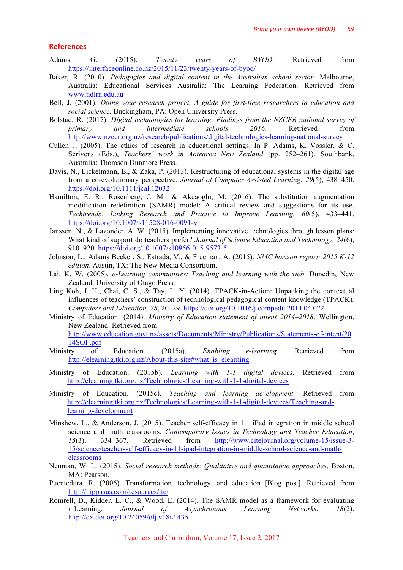#### **References**

- Adams, G. (2015). *Twenty years of BYOD*. Retrieved from https://interfaceonline.co.nz/2015/11/23/twenty-years-of-byod/
- Baker, R. (2010). *Pedagogies and digital content in the Australian school sector*. Melbourne, Australia: Educational Services Australia: The Learning Federation. Retrieved from www.ndlrn.edu.au
- Bell, J. (2001). *Doing your research project. A guide for first-time researchers in education and social science.* Buckingham, PA: Open University Press.
- Bolstad, R. (2017). *Digital technologies for learning: Findings from the NZCER national survey of primary and intermediate schools 2016*. Retrieved from http://www.nzcer.org.nz/research/publications/digital-technologies-learning-national-survey
- Cullen J. (2005). The ethics of research in educational settings. In P. Adams, K. Vossler, & C. Scrivens (Eds.), *Teachers' work in Aotearoa New Zealand* (pp. 252–261). Southbank, Australia: Thomson Dunmore Press.
- Davis, N., Eickelmann, B., & Zaka, P. (2013). Restructuring of educational systems in the digital age from a co-evolutionary perspective. *Journal of Computer Assisted Learning*, *29*(5), 438–450. https://doi.org/10.1111/jcal.12032
- Hamilton, E. R., Rosenberg, J. M., & Akcaoglu, M. (2016). The substitution augmentation modification redefinition (SAMR) model: A critical review and suggestions for its use. *Techtrends: Linking Research and Practice to Improve Learning*, *60*(5), 433–441. https://doi.org/10.1007/s11528-016-0091-y
- Janssen, N., & Lazonder, A. W. (2015). Implementing innovative technologies through lesson plans: What kind of support do teachers prefer? *Journal of Science Education and Technology*, *24*(6), 910–920. https://doi.org/10.1007/s10956-015-9573-5
- Johnson, L., Adams Becker, S., Estrada, V., & Freeman, A. (2015). *NMC horizon report: 2015 K-12 edition*. Austin, TX: The New Media Consortium.
- Lai, K. W. (2005). *e-Learning communities: Teaching and learning with the web*. Dunedin, New Zealand: University of Otago Press.
- Ling Koh, J. H., Chai, C. S., & Tay, L. Y. (2014). TPACK-in-Action: Unpacking the contextual influences of teachers' construction of technological pedagogical content knowledge (TPACK)*. Computers and Education, 78*, 20–29. https://doi.org/10.1016/j.compedu.2014.04.022
- Ministry of Education. (2014). *Ministry of Education statement of intent 2014–2018*. Wellington, New Zealand. Retrieved from http://www.education.govt.nz/assets/Documents/Ministry/Publications/Statements-of-intent/20 14SOI .pdf
- Ministry of Education. (2015a). *Enabling e-learning.* Retrieved from http://elearning.tki.org.nz/About-this-site#what\_is\_elearning
- Ministry of Education. (2015b). *Learning with 1-1 digital devices.* Retrieved from http://elearning.tki.org.nz/Technologies/Learning-with-1-1-digital-devices
- Ministry of Education. (2015c). *Teaching and learning development.* Retrieved from http://elearning.tki.org.nz/Technologies/Learning-with-1-1-digital-devices/Teaching-andlearning-development
- Minshew, L., & Anderson, J. (2015). Teacher self-efficacy in 1:1 iPad integration in middle school science and math classrooms. *Contemporary Issues in Technology and Teacher Education*, *15*(3), 334–367. Retrieved from http://www.citejournal.org/volume-15/issue-3- 15/science/teacher-self-efficacy-in-11-ipad-integration-in-middle-school-science-and-mathclassrooms
- Neuman, W. L. (2015). *Social research methods: Qualitative and quantitative approaches*. Boston, MA: Pearson.
- Puentedura, R. (2006). Transformation, technology, and education [Blog post]. Retrieved from http://hippasus.com/resources/tte/
- Romrell, D., Kidder, L. C., & Wood, E. (2014). The SAMR model as a framework for evaluating mLearning. *Journal of Asynchronous Learning Networks*, *18*(2). http://dx.doi.org/10.24059/olj.v18i2.435